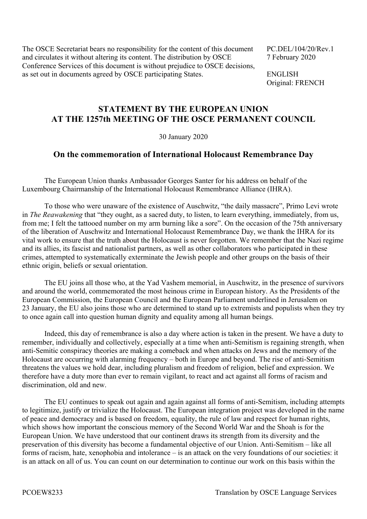The OSCE Secretariat bears no responsibility for the content of this document PC.DEL/104/20/Rev.1 and circulates it without altering its content. The distribution by OSCE 7 February 2020 Conference Services of this document is without prejudice to OSCE decisions, as set out in documents agreed by OSCE participating States. ENGLISH

Original: FRENCH

## **STATEMENT BY THE EUROPEAN UNION AT THE 1257th MEETING OF THE OSCE PERMANENT COUNCIL**

30 January 2020

## **On the commemoration of International Holocaust Remembrance Day**

 The European Union thanks Ambassador Georges Santer for his address on behalf of the Luxembourg Chairmanship of the International Holocaust Remembrance Alliance (IHRA).

 To those who were unaware of the existence of Auschwitz, "the daily massacre", Primo Levi wrote in *The Reawakening* that "they ought, as a sacred duty, to listen, to learn everything, immediately, from us, from me; I felt the tattooed number on my arm burning like a sore". On the occasion of the 75th anniversary of the liberation of Auschwitz and International Holocaust Remembrance Day, we thank the IHRA for its vital work to ensure that the truth about the Holocaust is never forgotten. We remember that the Nazi regime and its allies, its fascist and nationalist partners, as well as other collaborators who participated in these crimes, attempted to systematically exterminate the Jewish people and other groups on the basis of their ethnic origin, beliefs or sexual orientation.

 The EU joins all those who, at the Yad Vashem memorial, in Auschwitz, in the presence of survivors and around the world, commemorated the most heinous crime in European history. As the Presidents of the European Commission, the European Council and the European Parliament underlined in Jerusalem on 23 January, the EU also joins those who are determined to stand up to extremists and populists when they try to once again call into question human dignity and equality among all human beings.

 Indeed, this day of remembrance is also a day where action is taken in the present. We have a duty to remember, individually and collectively, especially at a time when anti-Semitism is regaining strength, when anti-Semitic conspiracy theories are making a comeback and when attacks on Jews and the memory of the Holocaust are occurring with alarming frequency – both in Europe and beyond. The rise of anti-Semitism threatens the values we hold dear, including pluralism and freedom of religion, belief and expression. We therefore have a duty more than ever to remain vigilant, to react and act against all forms of racism and discrimination, old and new.

 The EU continues to speak out again and again against all forms of anti-Semitism, including attempts to legitimize, justify or trivialize the Holocaust. The European integration project was developed in the name of peace and democracy and is based on freedom, equality, the rule of law and respect for human rights, which shows how important the conscious memory of the Second World War and the Shoah is for the European Union. We have understood that our continent draws its strength from its diversity and the preservation of this diversity has become a fundamental objective of our Union. Anti-Semitism – like all forms of racism, hate, xenophobia and intolerance – is an attack on the very foundations of our societies: it is an attack on all of us. You can count on our determination to continue our work on this basis within the